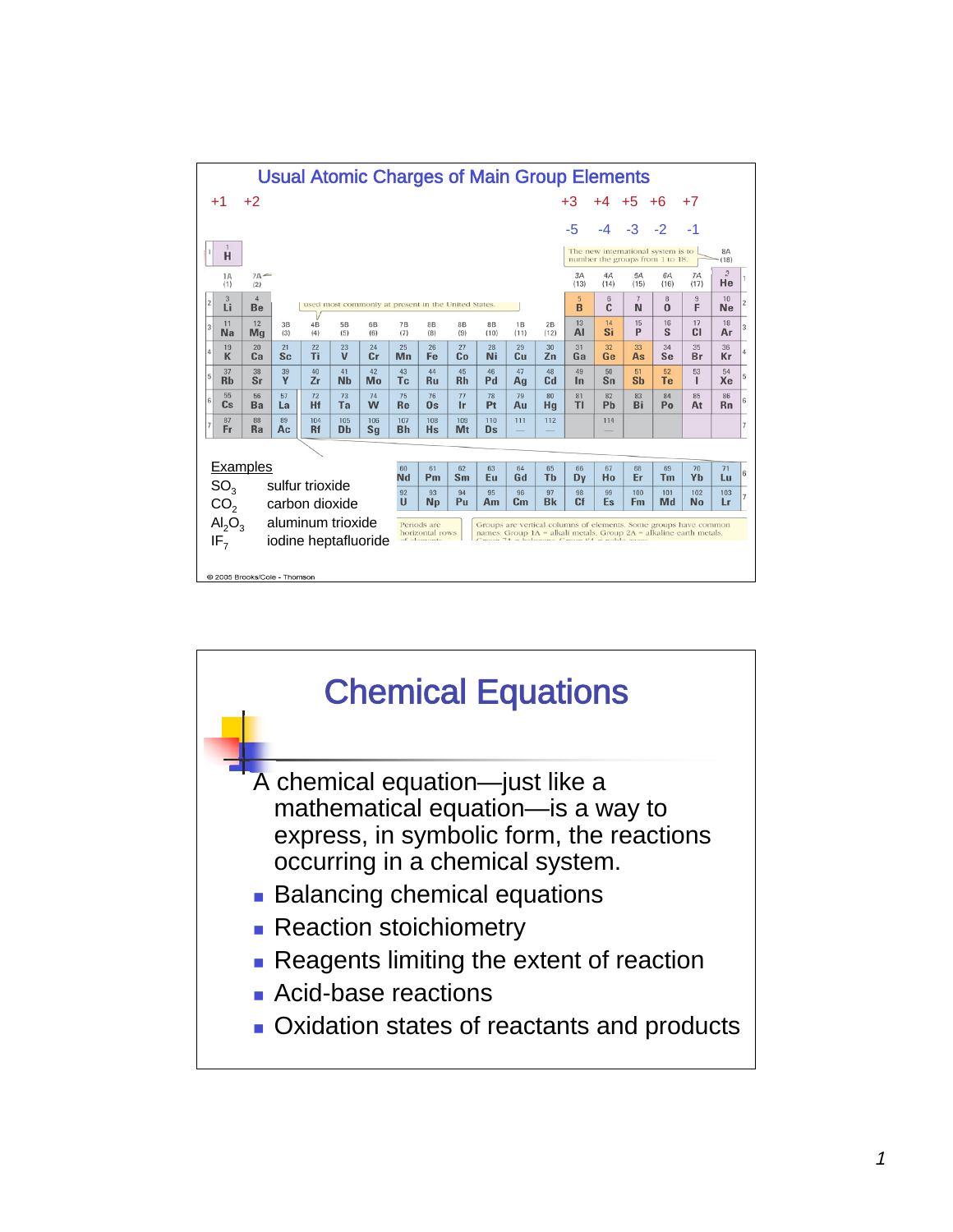

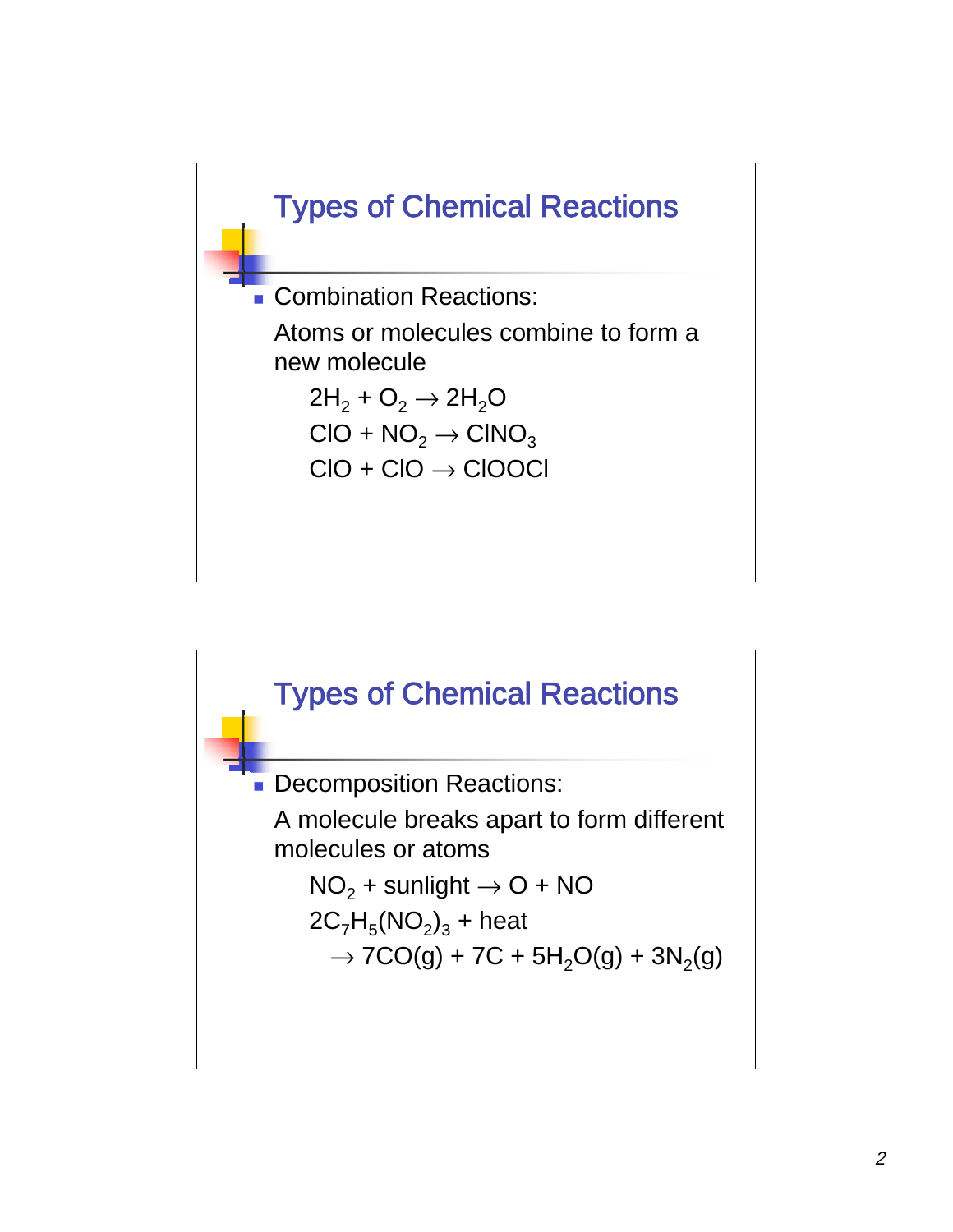

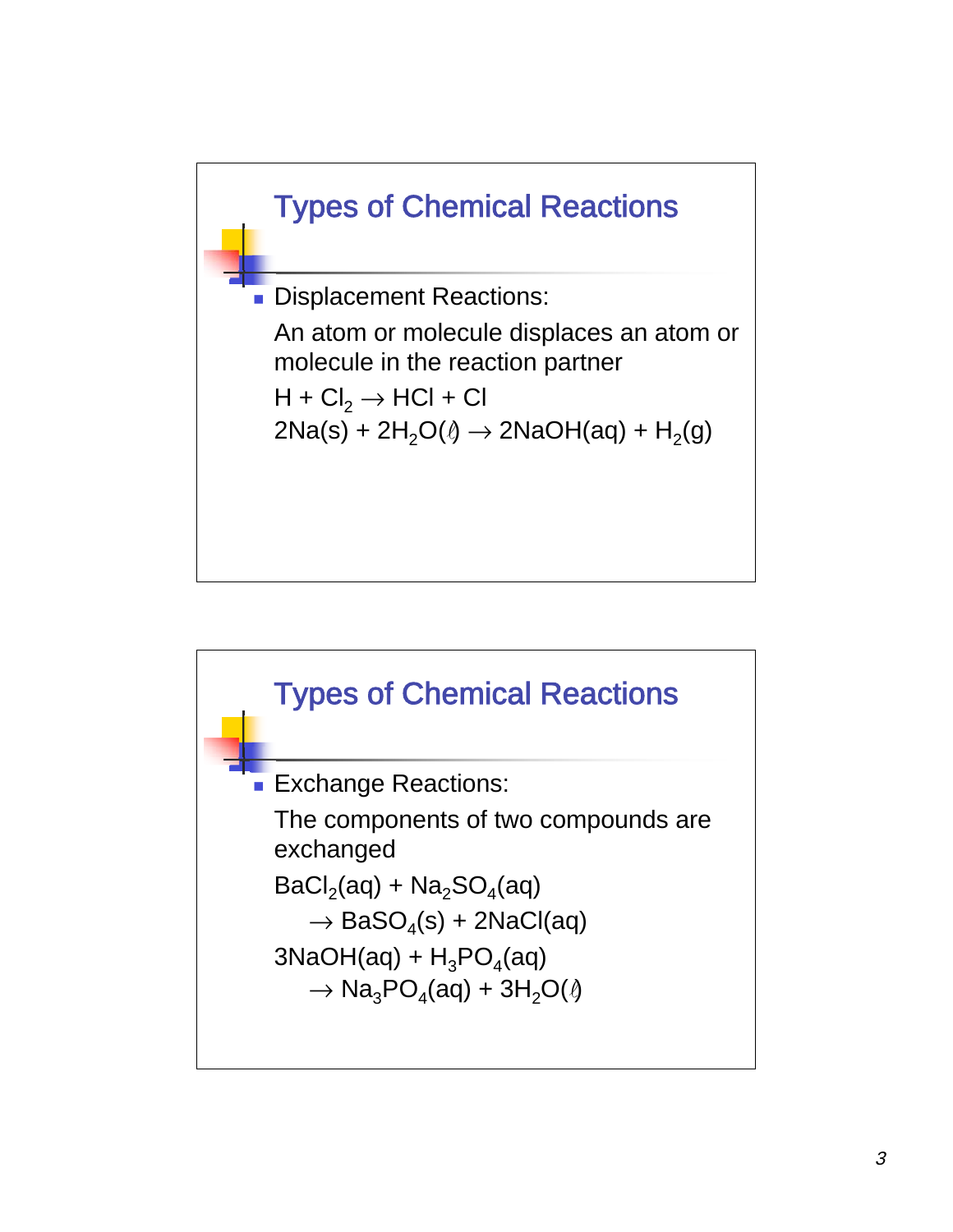

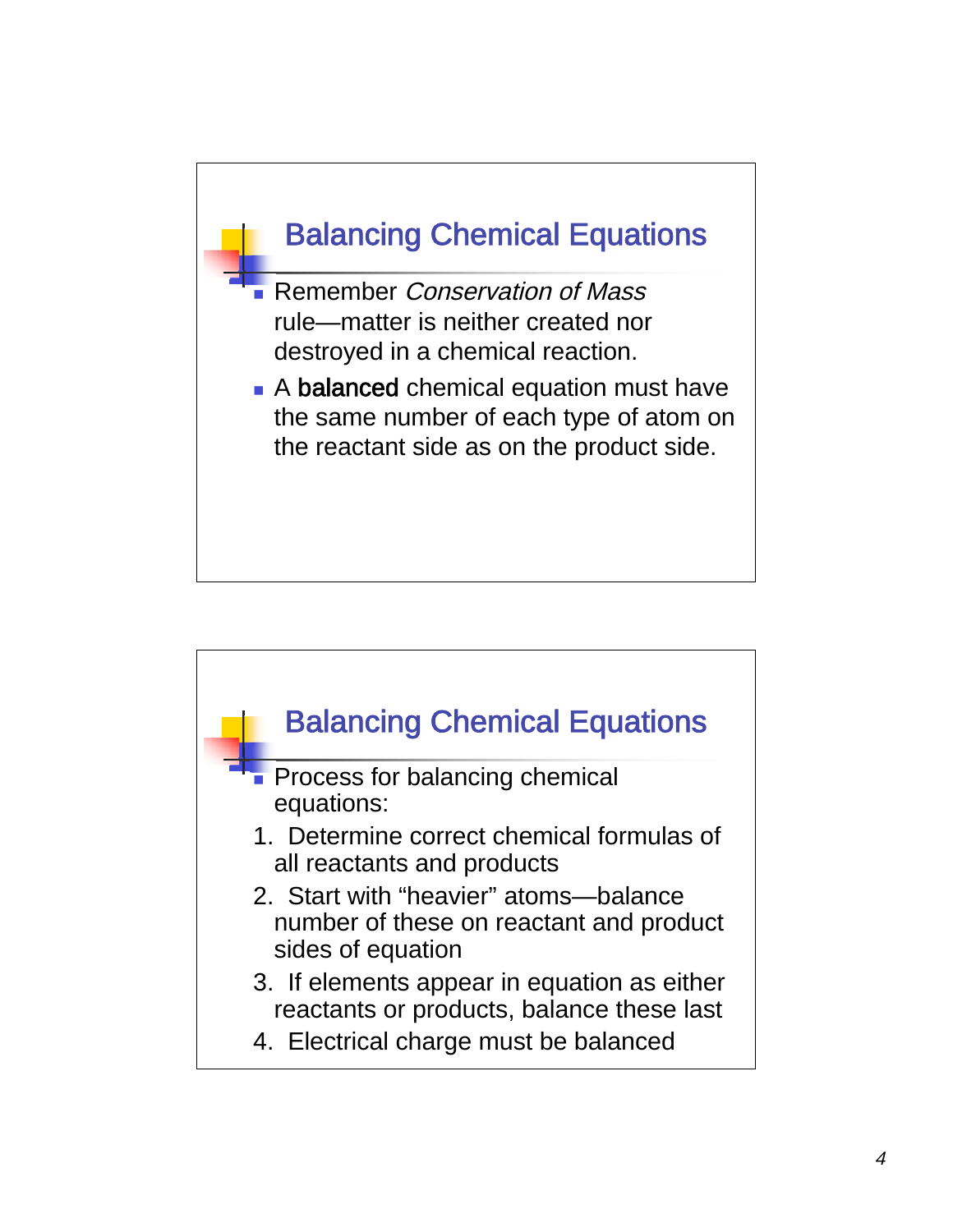

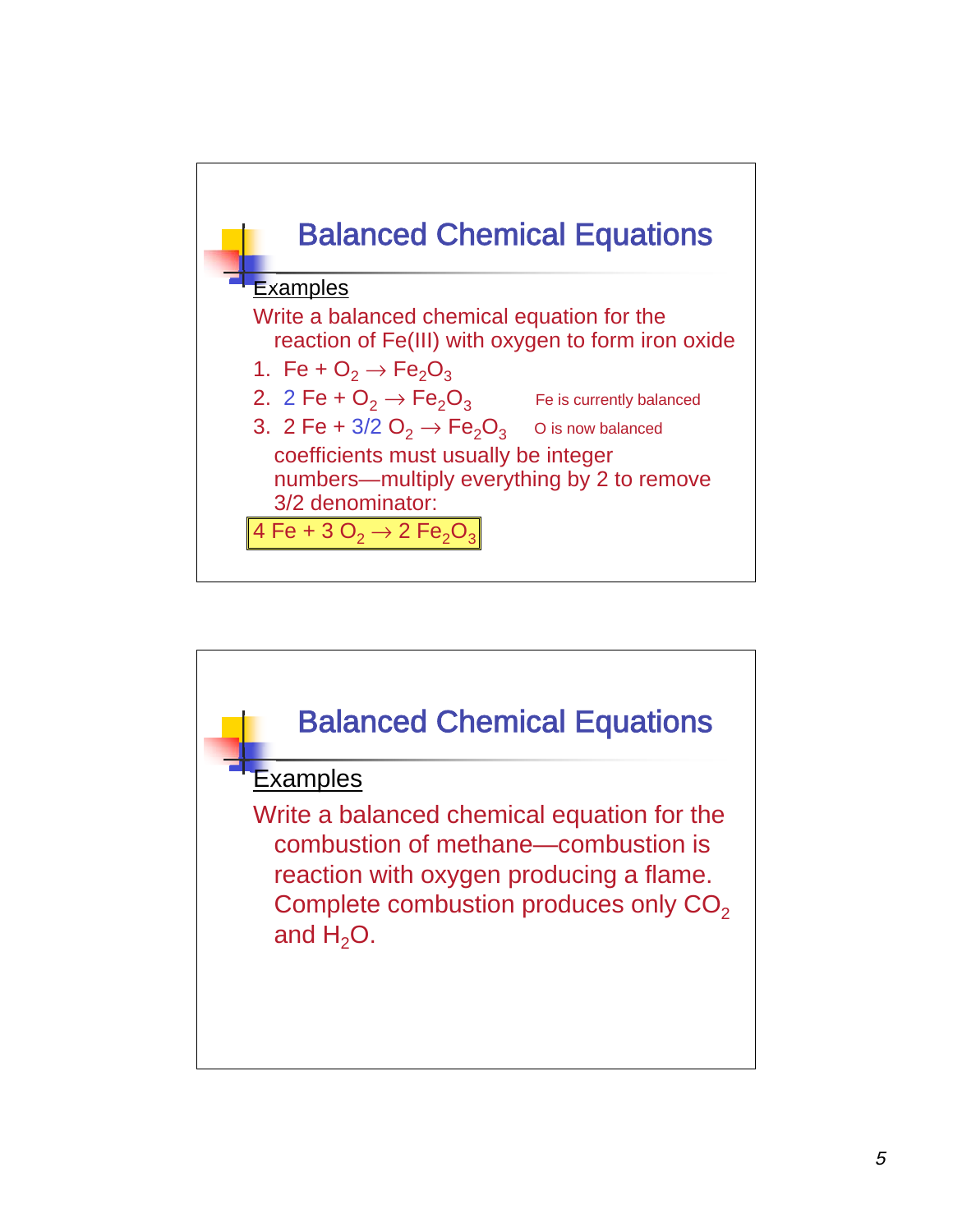

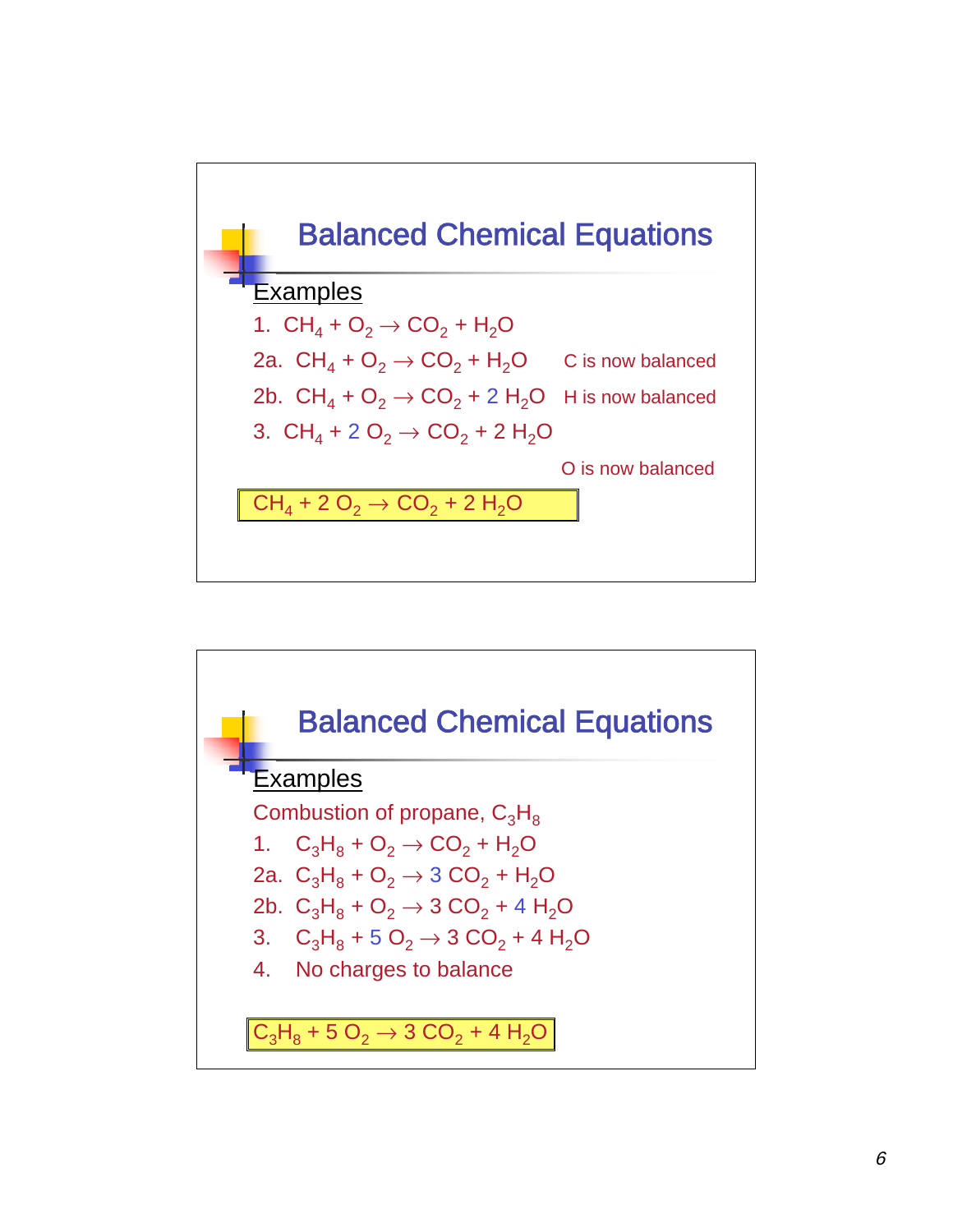

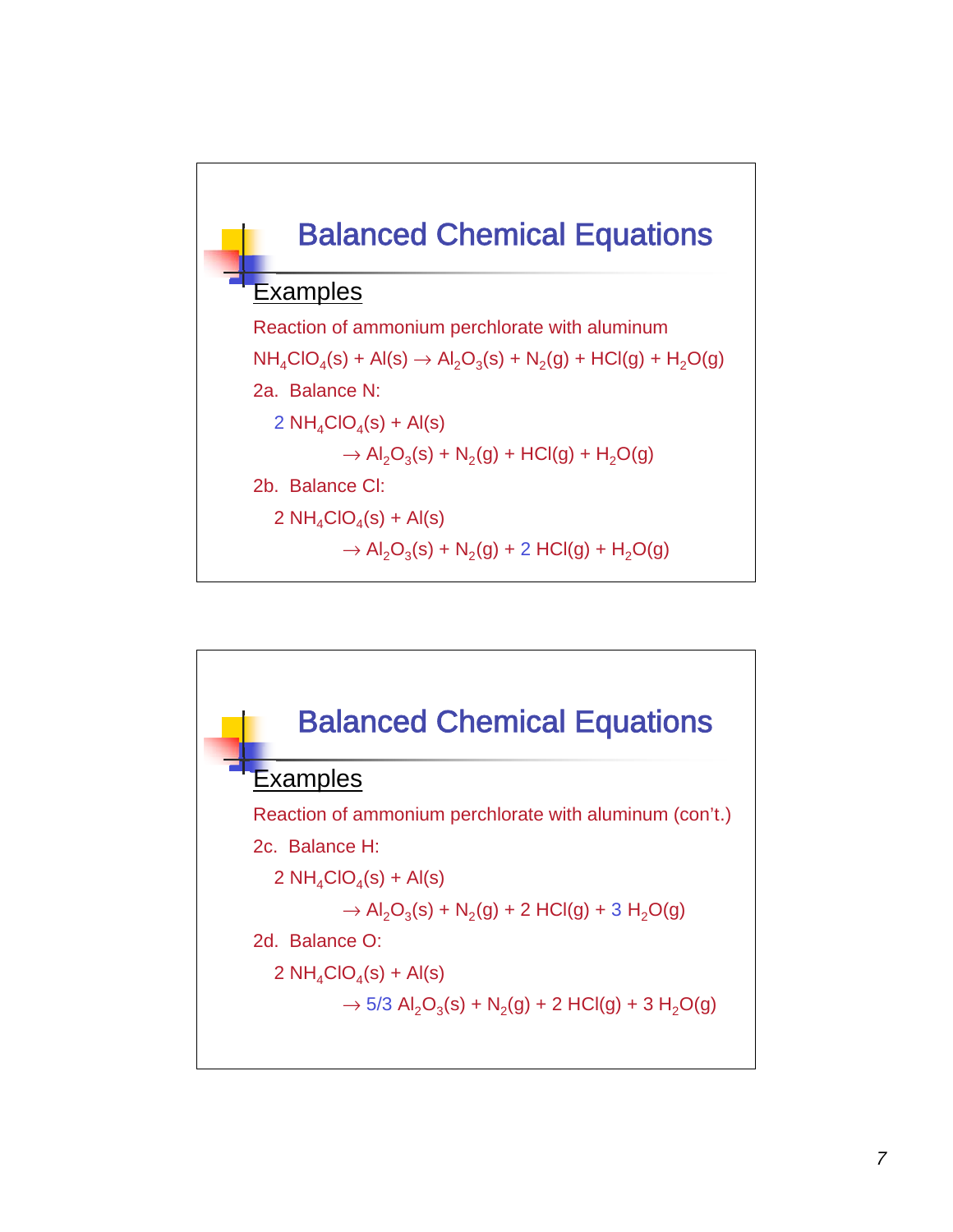

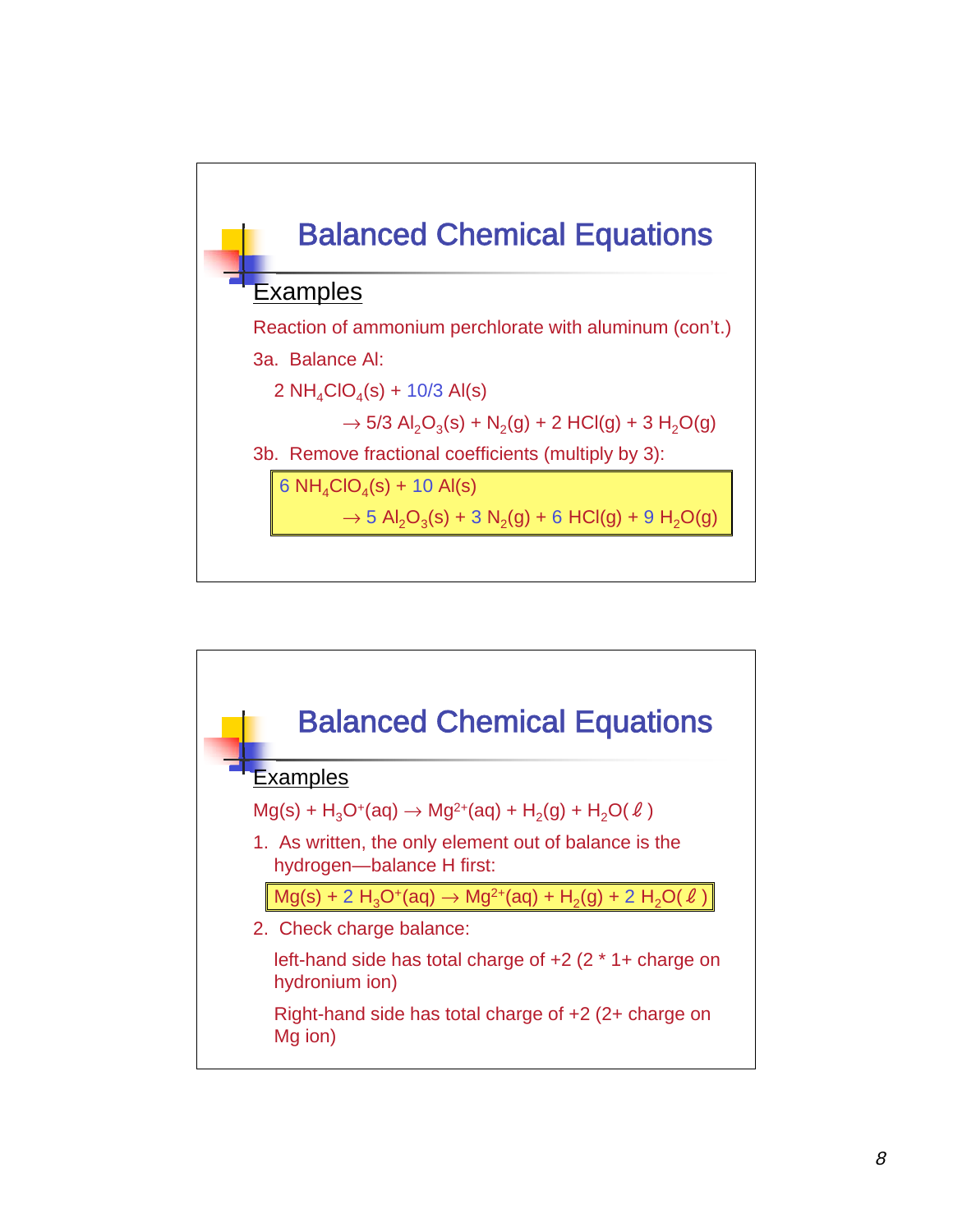

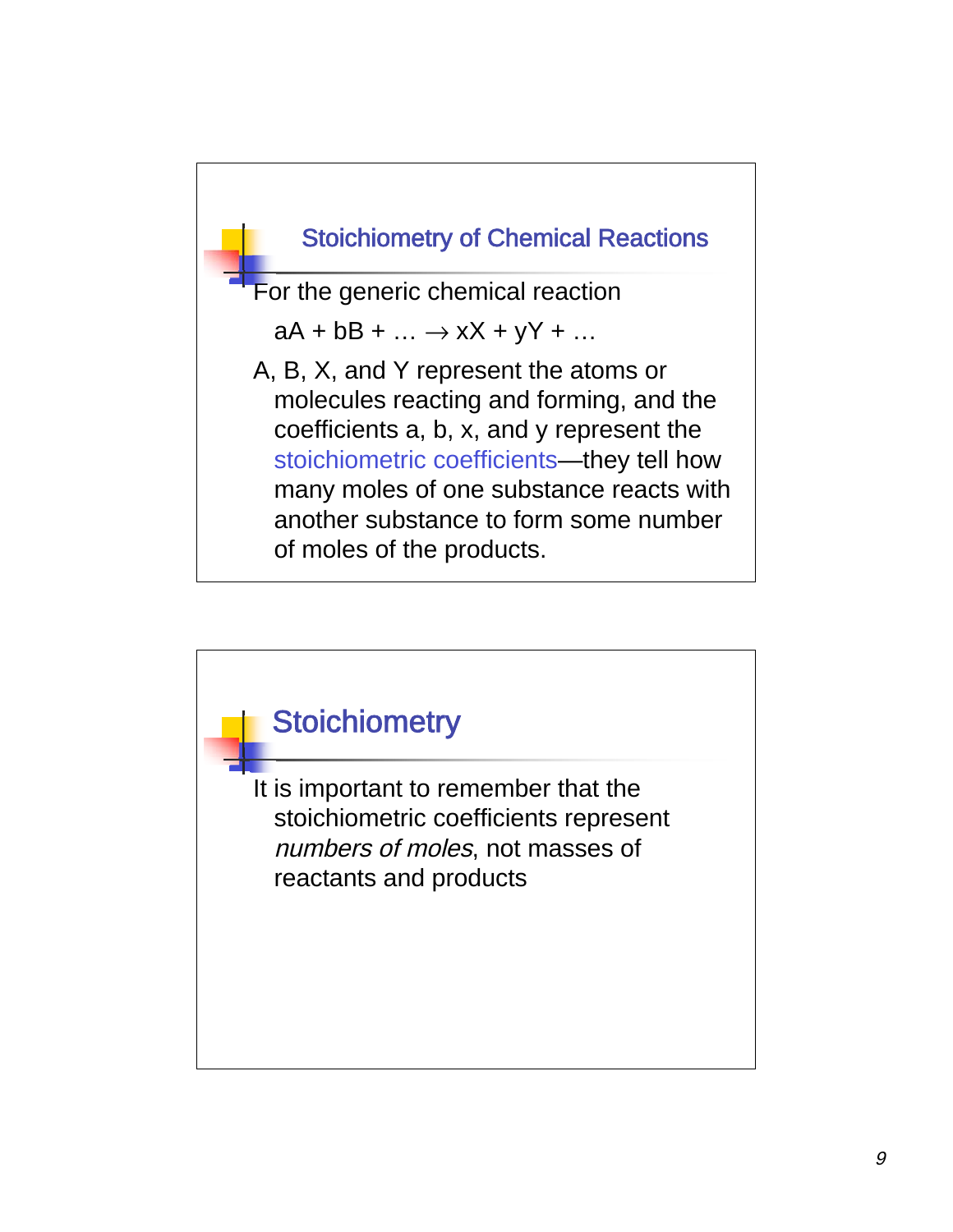

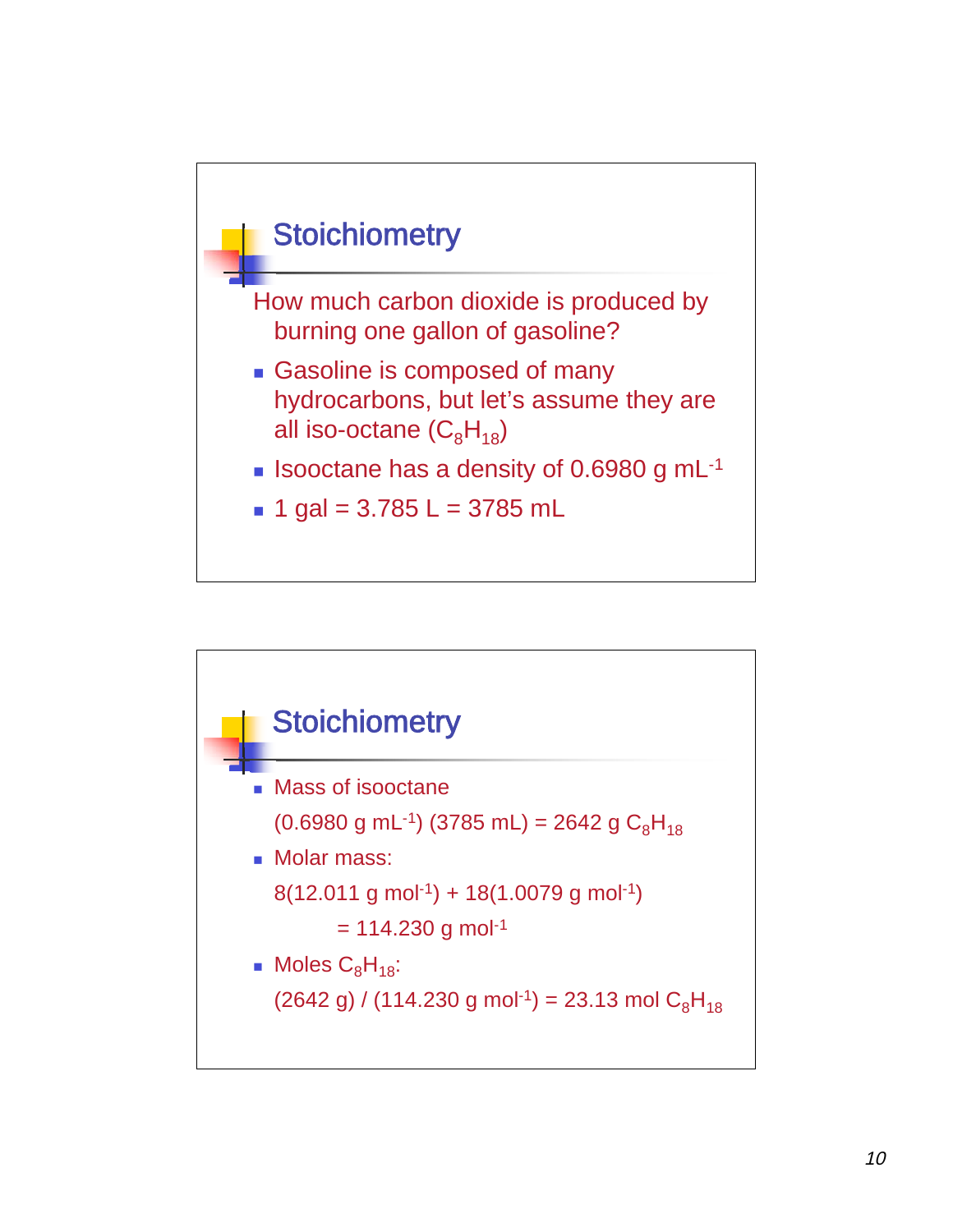

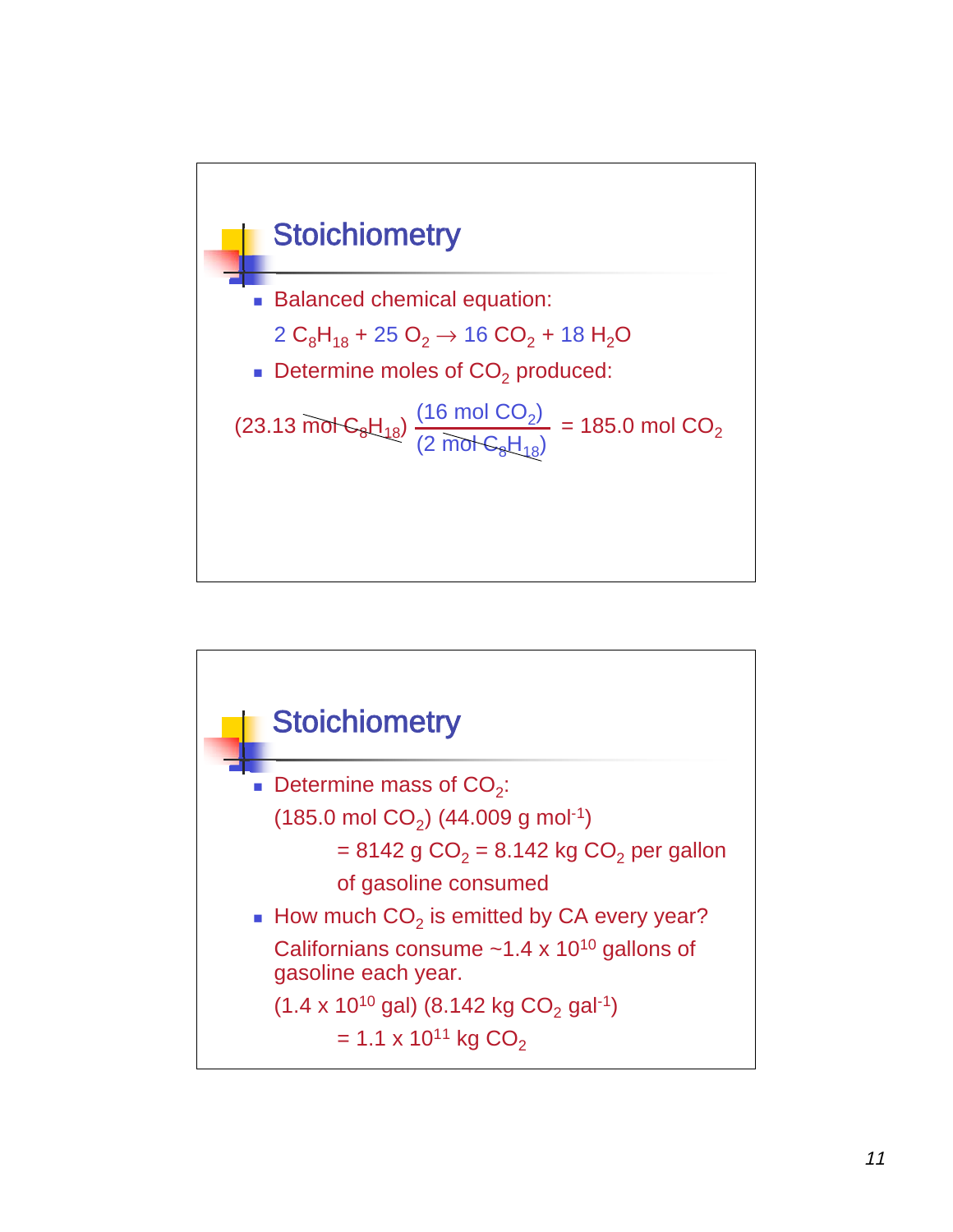

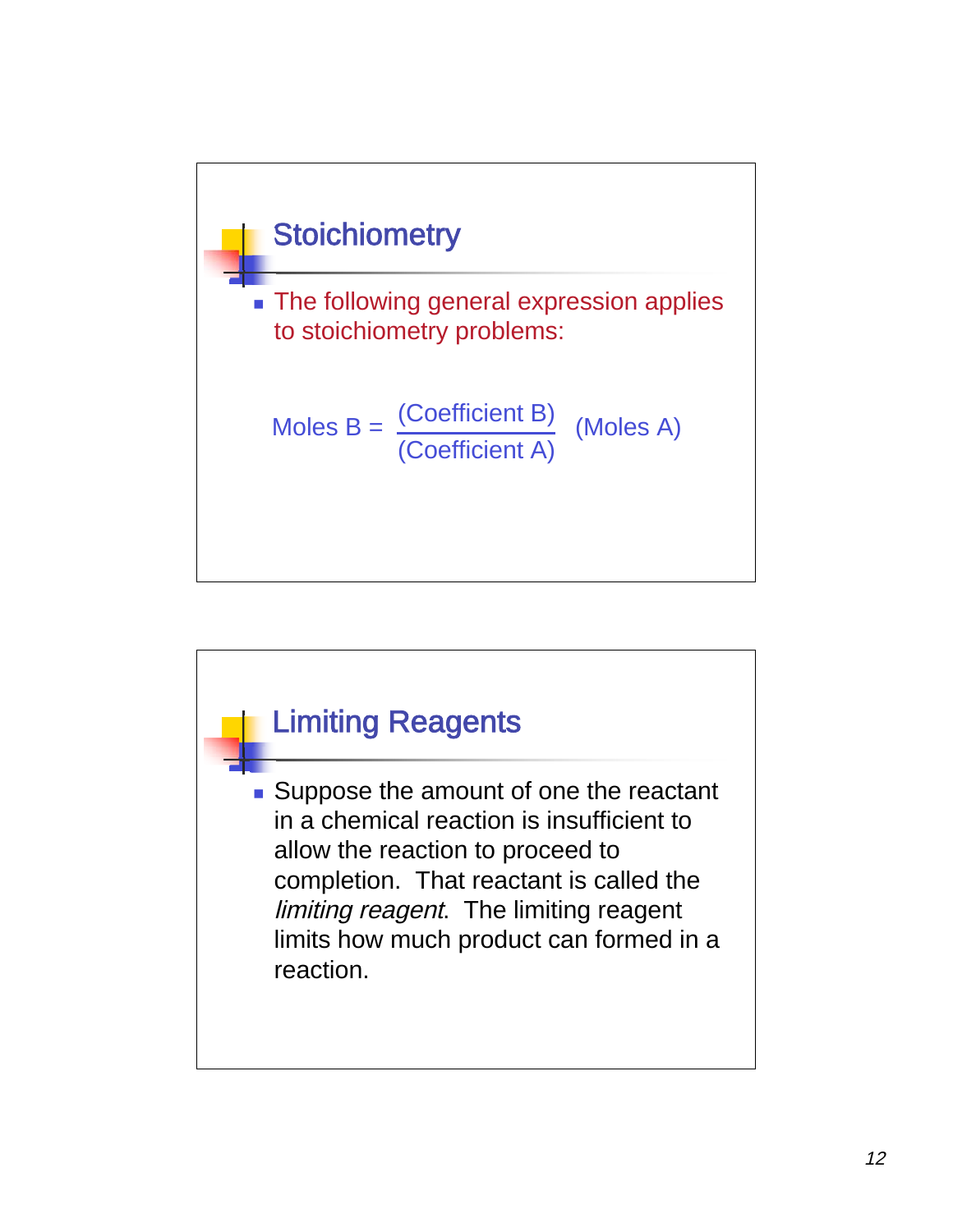

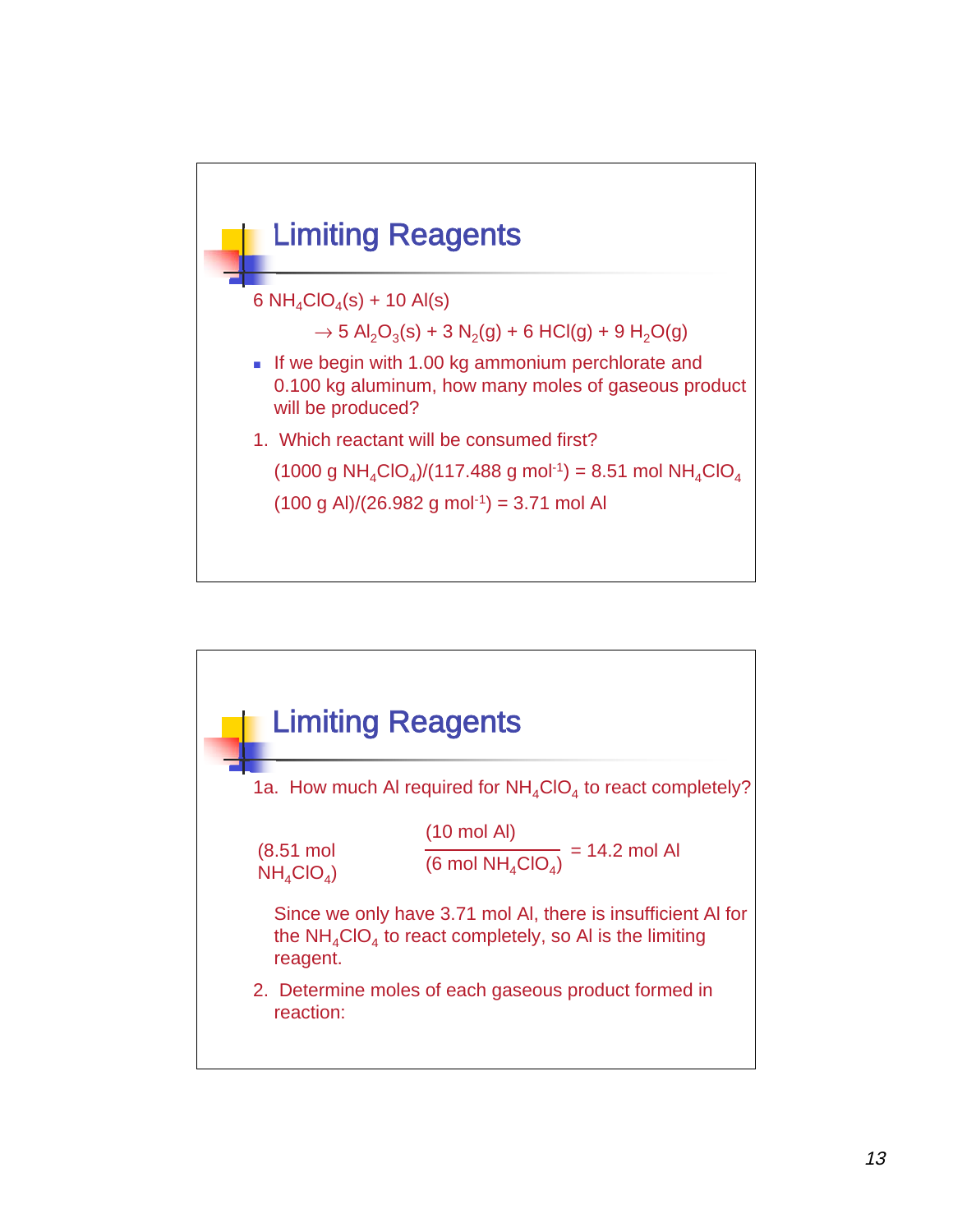

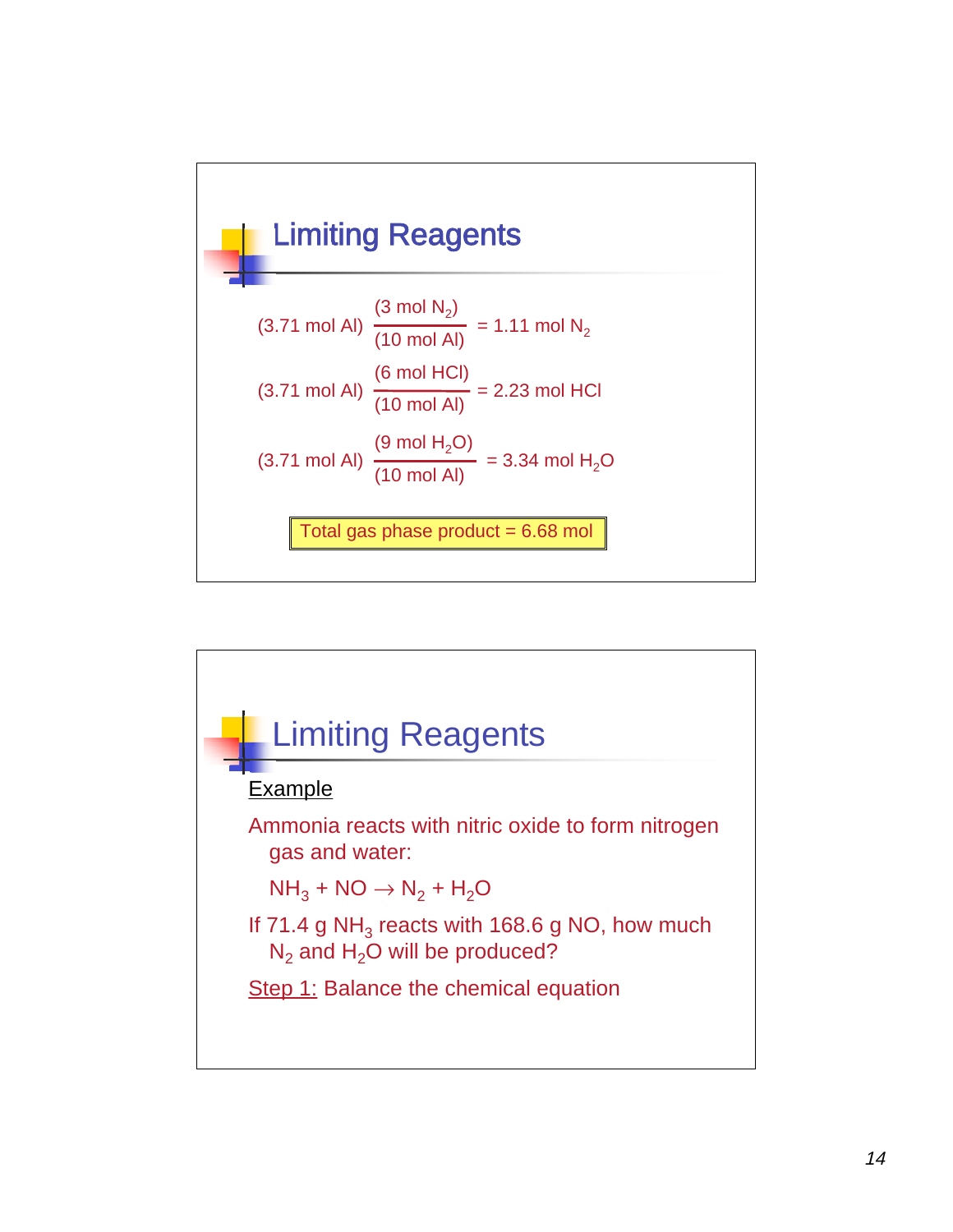

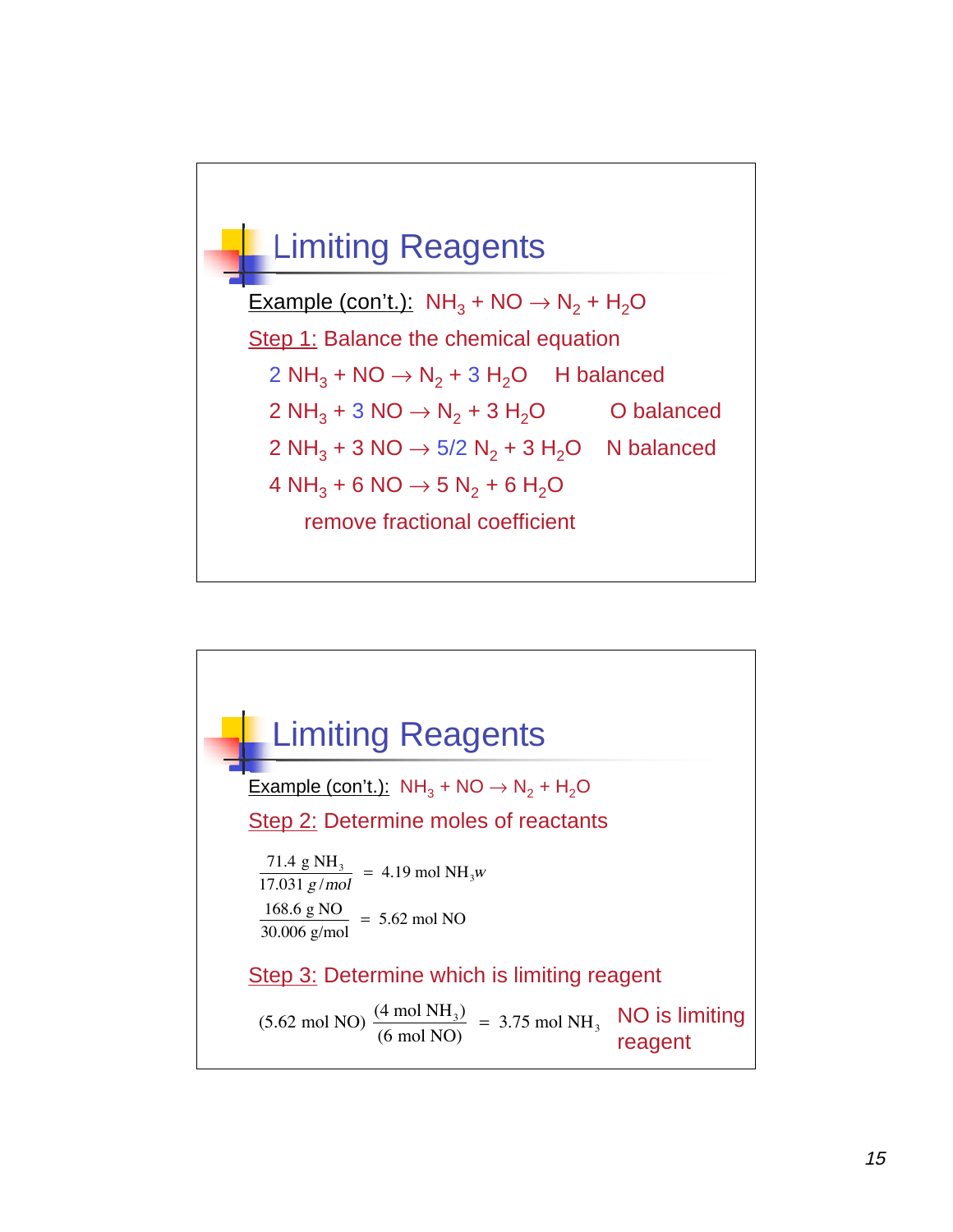

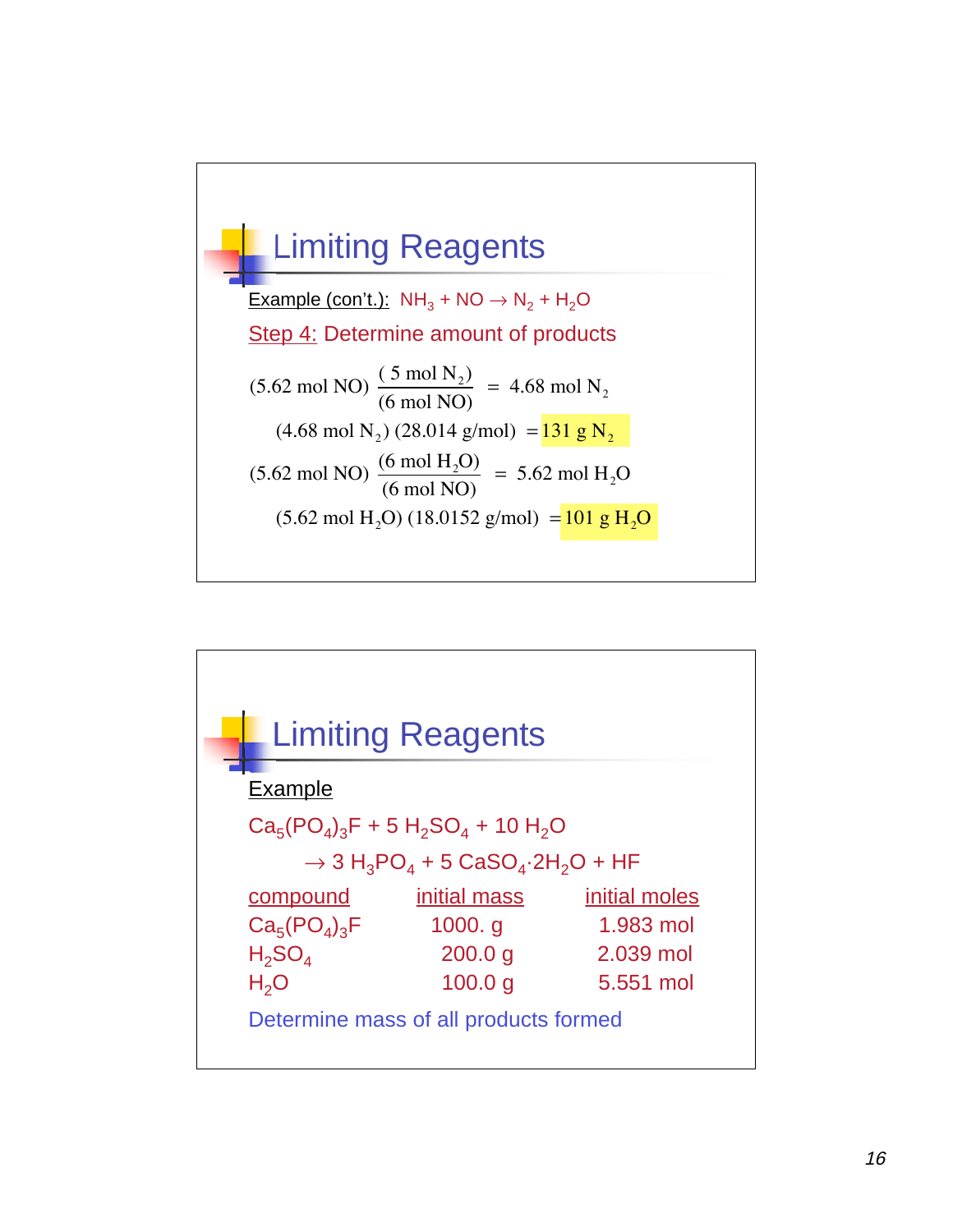

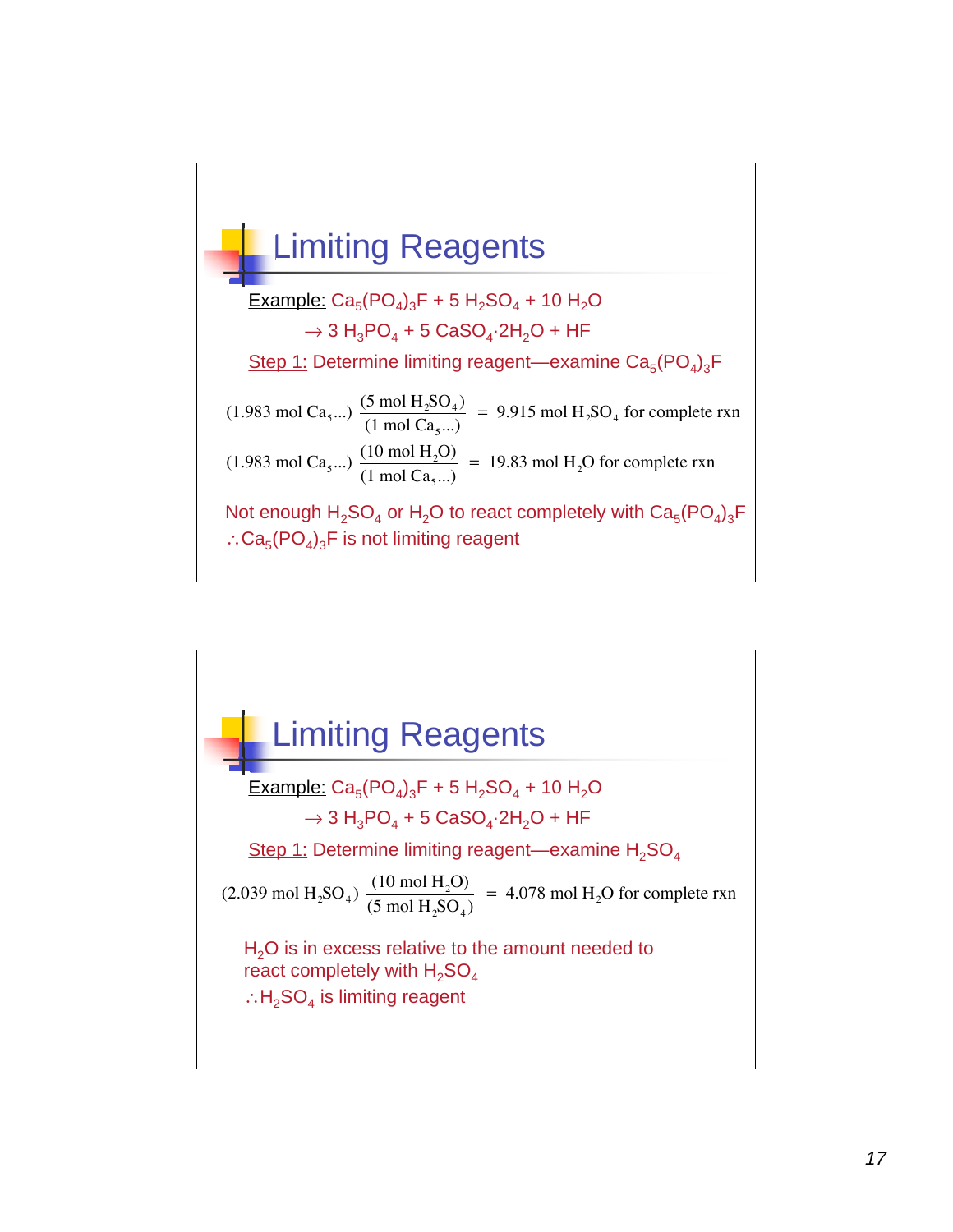

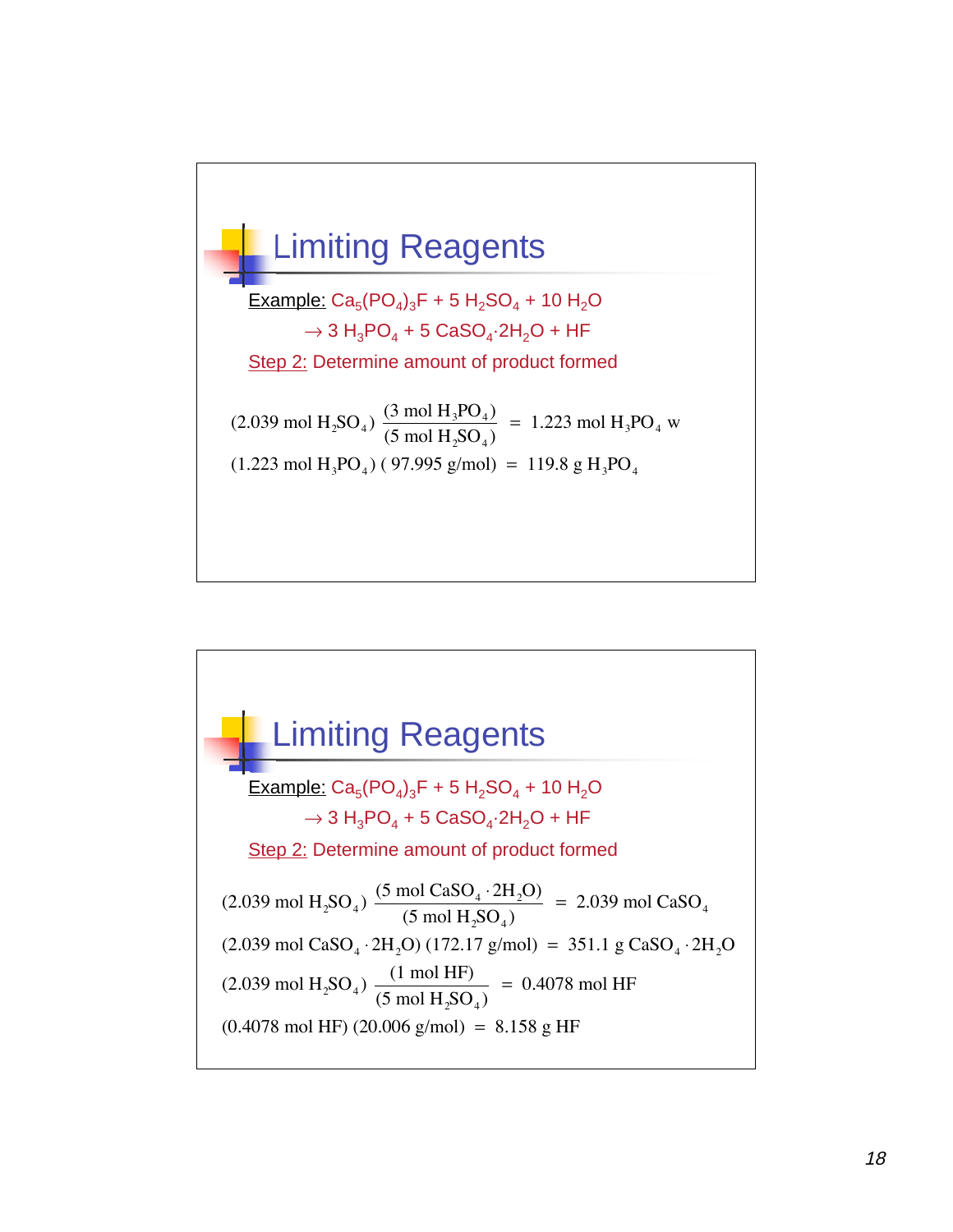